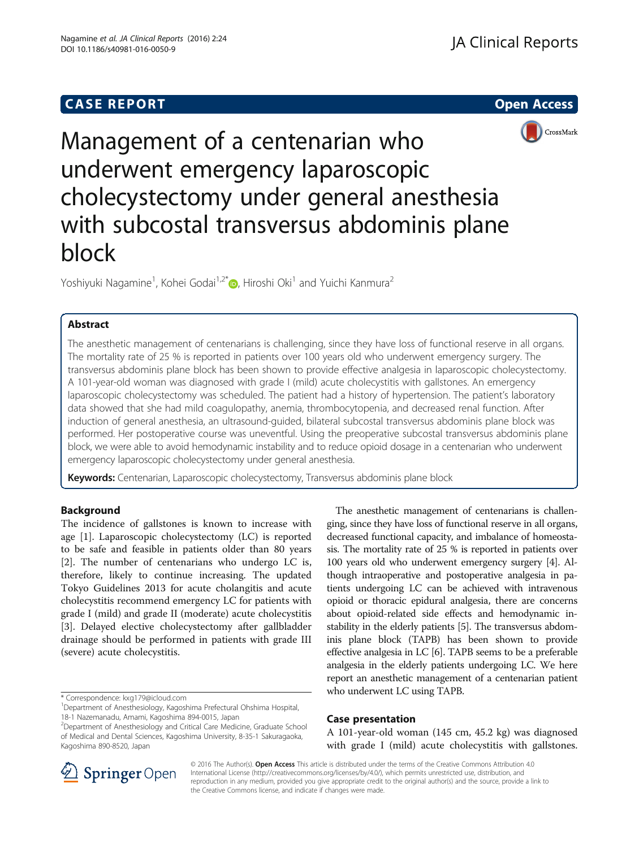# **CASE REPORT And SERVICE SERVICE SERVICE SERVICE SERVICE SERVICE SERVICE SERVICE SERVICE SERVICE SERVICE SERVICE**



Management of a centenarian who underwent emergency laparoscopic cholecystectomy under general anesthesia with subcostal transversus abdominis plane block

Yoshiyuki Nagamine<sup>1</sup>[,](http://orcid.org/0000-0002-5333-9417) Kohei Godai<sup>1,2\*</sup>®, Hiroshi Oki<sup>1</sup> and Yuichi Kanmura<sup>2</sup>

# Abstract

The anesthetic management of centenarians is challenging, since they have loss of functional reserve in all organs. The mortality rate of 25 % is reported in patients over 100 years old who underwent emergency surgery. The transversus abdominis plane block has been shown to provide effective analgesia in laparoscopic cholecystectomy. A 101-year-old woman was diagnosed with grade I (mild) acute cholecystitis with gallstones. An emergency laparoscopic cholecystectomy was scheduled. The patient had a history of hypertension. The patient's laboratory data showed that she had mild coagulopathy, anemia, thrombocytopenia, and decreased renal function. After induction of general anesthesia, an ultrasound-guided, bilateral subcostal transversus abdominis plane block was performed. Her postoperative course was uneventful. Using the preoperative subcostal transversus abdominis plane block, we were able to avoid hemodynamic instability and to reduce opioid dosage in a centenarian who underwent emergency laparoscopic cholecystectomy under general anesthesia.

Keywords: Centenarian, Laparoscopic cholecystectomy, Transversus abdominis plane block

# Background

The incidence of gallstones is known to increase with age [[1\]](#page-2-0). Laparoscopic cholecystectomy (LC) is reported to be safe and feasible in patients older than 80 years [[2\]](#page-2-0). The number of centenarians who undergo LC is, therefore, likely to continue increasing. The updated Tokyo Guidelines 2013 for acute cholangitis and acute cholecystitis recommend emergency LC for patients with grade I (mild) and grade II (moderate) acute cholecystitis [[3\]](#page-2-0). Delayed elective cholecystectomy after gallbladder drainage should be performed in patients with grade III (severe) acute cholecystitis.

\* Correspondence: [kxg179@icloud.com](mailto:kxg179@icloud.com) <sup>1</sup>

The anesthetic management of centenarians is challenging, since they have loss of functional reserve in all organs, decreased functional capacity, and imbalance of homeostasis. The mortality rate of 25 % is reported in patients over 100 years old who underwent emergency surgery [\[4\]](#page-2-0). Although intraoperative and postoperative analgesia in patients undergoing LC can be achieved with intravenous opioid or thoracic epidural analgesia, there are concerns about opioid-related side effects and hemodynamic instability in the elderly patients [[5](#page-2-0)]. The transversus abdominis plane block (TAPB) has been shown to provide effective analgesia in LC [\[6\]](#page-2-0). TAPB seems to be a preferable analgesia in the elderly patients undergoing LC. We here report an anesthetic management of a centenarian patient who underwent LC using TAPB.

# Case presentation

A 101-year-old woman (145 cm, 45.2 kg) was diagnosed with grade I (mild) acute cholecystitis with gallstones.



© 2016 The Author(s). Open Access This article is distributed under the terms of the Creative Commons Attribution 4.0 International License ([http://creativecommons.org/licenses/by/4.0/\)](http://creativecommons.org/licenses/by/4.0/), which permits unrestricted use, distribution, and reproduction in any medium, provided you give appropriate credit to the original author(s) and the source, provide a link to the Creative Commons license, and indicate if changes were made.

Department of Anesthesiology, Kagoshima Prefectural Ohshima Hospital, 18-1 Nazemanadu, Amami, Kagoshima 894-0015, Japan

<sup>&</sup>lt;sup>2</sup>Department of Anesthesiology and Critical Care Medicine, Graduate School of Medical and Dental Sciences, Kagoshima University, 8-35-1 Sakuragaoka, Kagoshima 890-8520, Japan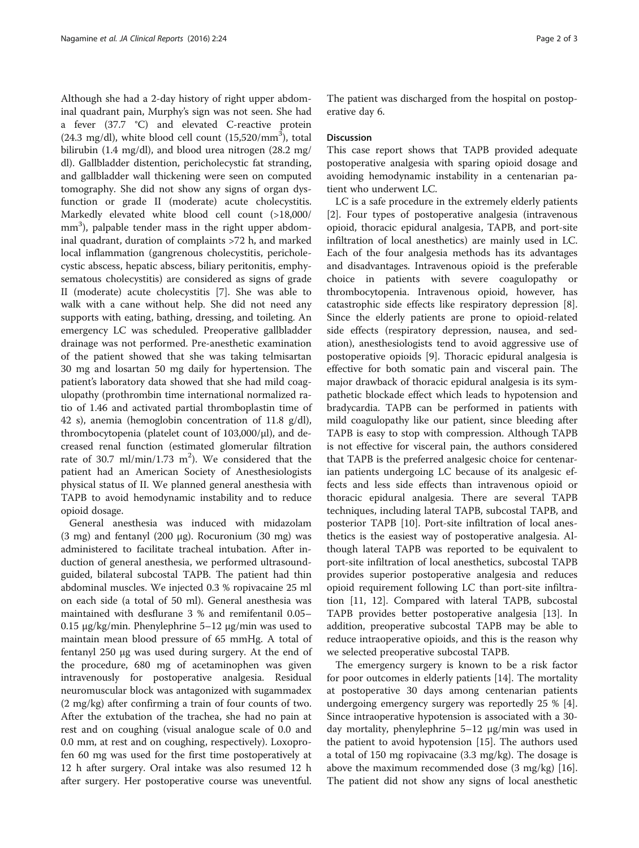Although she had a 2-day history of right upper abdominal quadrant pain, Murphy's sign was not seen. She had a fever (37.7 °C) and elevated C-reactive protein  $(24.3 \text{ mg/dl})$ , white blood cell count  $(15,520/\text{mm}^3)$ , total bilirubin (1.4 mg/dl), and blood urea nitrogen (28.2 mg/ dl). Gallbladder distention, pericholecystic fat stranding, and gallbladder wall thickening were seen on computed tomography. She did not show any signs of organ dysfunction or grade II (moderate) acute cholecystitis. Markedly elevated white blood cell count (>18,000/ mm<sup>3</sup>), palpable tender mass in the right upper abdominal quadrant, duration of complaints >72 h, and marked local inflammation (gangrenous cholecystitis, pericholecystic abscess, hepatic abscess, biliary peritonitis, emphysematous cholecystitis) are considered as signs of grade II (moderate) acute cholecystitis [\[7](#page-2-0)]. She was able to walk with a cane without help. She did not need any supports with eating, bathing, dressing, and toileting. An emergency LC was scheduled. Preoperative gallbladder drainage was not performed. Pre-anesthetic examination of the patient showed that she was taking telmisartan 30 mg and losartan 50 mg daily for hypertension. The patient's laboratory data showed that she had mild coagulopathy (prothrombin time international normalized ratio of 1.46 and activated partial thromboplastin time of 42 s), anemia (hemoglobin concentration of 11.8 g/dl), thrombocytopenia (platelet count of 103,000/μl), and decreased renal function (estimated glomerular filtration rate of 30.7 ml/min/1.73 m<sup>2</sup>). We considered that the patient had an American Society of Anesthesiologists physical status of II. We planned general anesthesia with TAPB to avoid hemodynamic instability and to reduce opioid dosage.

General anesthesia was induced with midazolam (3 mg) and fentanyl (200 μg). Rocuronium (30 mg) was administered to facilitate tracheal intubation. After induction of general anesthesia, we performed ultrasoundguided, bilateral subcostal TAPB. The patient had thin abdominal muscles. We injected 0.3 % ropivacaine 25 ml on each side (a total of 50 ml). General anesthesia was maintained with desflurane 3 % and remifentanil 0.05– 0.15 μg/kg/min. Phenylephrine 5–12 μg/min was used to maintain mean blood pressure of 65 mmHg. A total of fentanyl 250 μg was used during surgery. At the end of the procedure, 680 mg of acetaminophen was given intravenously for postoperative analgesia. Residual neuromuscular block was antagonized with sugammadex (2 mg/kg) after confirming a train of four counts of two. After the extubation of the trachea, she had no pain at rest and on coughing (visual analogue scale of 0.0 and 0.0 mm, at rest and on coughing, respectively). Loxoprofen 60 mg was used for the first time postoperatively at 12 h after surgery. Oral intake was also resumed 12 h after surgery. Her postoperative course was uneventful.

The patient was discharged from the hospital on postoperative day 6.

### **Discussion**

This case report shows that TAPB provided adequate postoperative analgesia with sparing opioid dosage and avoiding hemodynamic instability in a centenarian patient who underwent LC.

LC is a safe procedure in the extremely elderly patients [[2\]](#page-2-0). Four types of postoperative analgesia (intravenous opioid, thoracic epidural analgesia, TAPB, and port-site infiltration of local anesthetics) are mainly used in LC. Each of the four analgesia methods has its advantages and disadvantages. Intravenous opioid is the preferable choice in patients with severe coagulopathy or thrombocytopenia. Intravenous opioid, however, has catastrophic side effects like respiratory depression [\[8](#page-2-0)]. Since the elderly patients are prone to opioid-related side effects (respiratory depression, nausea, and sedation), anesthesiologists tend to avoid aggressive use of postoperative opioids [\[9\]](#page-2-0). Thoracic epidural analgesia is effective for both somatic pain and visceral pain. The major drawback of thoracic epidural analgesia is its sympathetic blockade effect which leads to hypotension and bradycardia. TAPB can be performed in patients with mild coagulopathy like our patient, since bleeding after TAPB is easy to stop with compression. Although TAPB is not effective for visceral pain, the authors considered that TAPB is the preferred analgesic choice for centenarian patients undergoing LC because of its analgesic effects and less side effects than intravenous opioid or thoracic epidural analgesia. There are several TAPB techniques, including lateral TAPB, subcostal TAPB, and posterior TAPB [[10\]](#page-2-0). Port-site infiltration of local anesthetics is the easiest way of postoperative analgesia. Although lateral TAPB was reported to be equivalent to port-site infiltration of local anesthetics, subcostal TAPB provides superior postoperative analgesia and reduces opioid requirement following LC than port-site infiltration [\[11](#page-2-0), [12\]](#page-2-0). Compared with lateral TAPB, subcostal TAPB provides better postoperative analgesia [\[13](#page-2-0)]. In addition, preoperative subcostal TAPB may be able to reduce intraoperative opioids, and this is the reason why we selected preoperative subcostal TAPB.

The emergency surgery is known to be a risk factor for poor outcomes in elderly patients [[14\]](#page-2-0). The mortality at postoperative 30 days among centenarian patients undergoing emergency surgery was reportedly 25 % [\[4](#page-2-0)]. Since intraoperative hypotension is associated with a 30 day mortality, phenylephrine 5–12 μg/min was used in the patient to avoid hypotension [[15\]](#page-2-0). The authors used a total of 150 mg ropivacaine (3.3 mg/kg). The dosage is above the maximum recommended dose (3 mg/kg) [\[16](#page-2-0)]. The patient did not show any signs of local anesthetic